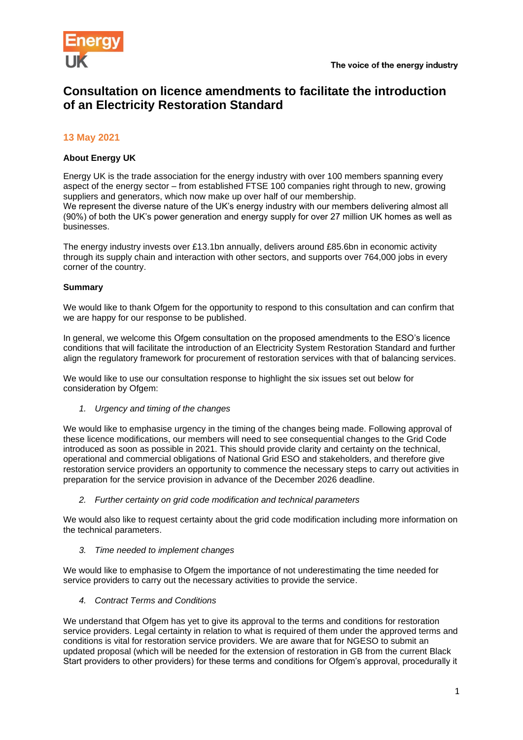

# **Consultation on licence amendments to facilitate the introduction of an Electricity Restoration Standard**

## **13 May 2021**

### **About Energy UK**

Energy UK is the trade association for the energy industry with over 100 members spanning every aspect of the energy sector – from established FTSE 100 companies right through to new, growing suppliers and generators, which now make up over half of our membership.

We represent the diverse nature of the UK's energy industry with our members delivering almost all (90%) of both the UK's power generation and energy supply for over 27 million UK homes as well as businesses.

The energy industry invests over £13.1bn annually, delivers around £85.6bn in economic activity through its supply chain and interaction with other sectors, and supports over 764,000 jobs in every corner of the country.

#### **Summary**

We would like to thank Ofgem for the opportunity to respond to this consultation and can confirm that we are happy for our response to be published.

In general, we welcome this Ofgem consultation on the proposed amendments to the ESO's licence conditions that will facilitate the introduction of an Electricity System Restoration Standard and further align the regulatory framework for procurement of restoration services with that of balancing services.

We would like to use our consultation response to highlight the six issues set out below for consideration by Ofgem:

*1. Urgency and timing of the changes* 

We would like to emphasise urgency in the timing of the changes being made. Following approval of these licence modifications, our members will need to see consequential changes to the Grid Code introduced as soon as possible in 2021. This should provide clarity and certainty on the technical, operational and commercial obligations of National Grid ESO and stakeholders, and therefore give restoration service providers an opportunity to commence the necessary steps to carry out activities in preparation for the service provision in advance of the December 2026 deadline.

*2. Further certainty on grid code modification and technical parameters*

We would also like to request certainty about the grid code modification including more information on the technical parameters.

*3. Time needed to implement changes* 

We would like to emphasise to Ofgem the importance of not underestimating the time needed for service providers to carry out the necessary activities to provide the service.

*4. Contract Terms and Conditions* 

We understand that Ofgem has yet to give its approval to the terms and conditions for restoration service providers. Legal certainty in relation to what is required of them under the approved terms and conditions is vital for restoration service providers. We are aware that for NGESO to submit an updated proposal (which will be needed for the extension of restoration in GB from the current Black Start providers to other providers) for these terms and conditions for Ofgem's approval, procedurally it